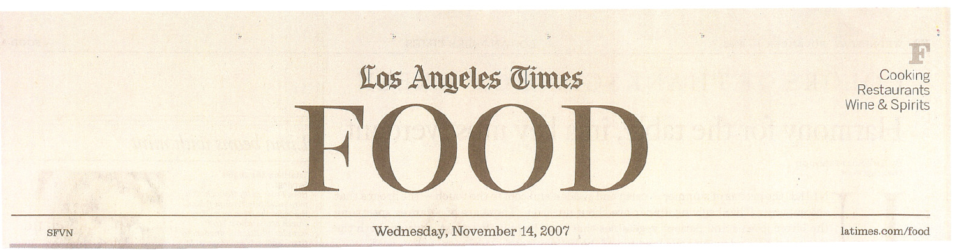